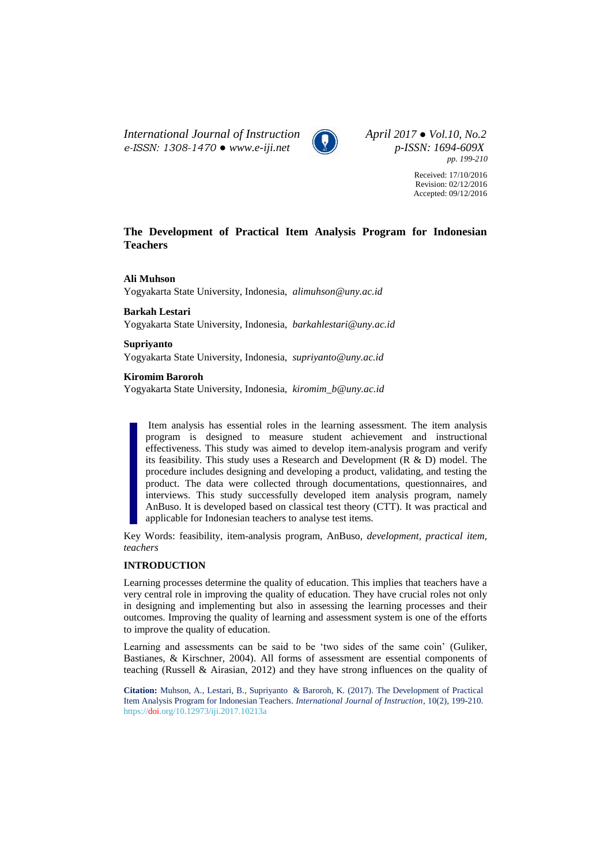*International Journal of Instruction April 2017 ● Vol.10, No.2 e-ISSN: 1308-1470 ● www.e-iji.net p-ISSN: 1694-609X*



*pp. 199-210*

Received: 17/10/2016 Revision: 02/12/2016 Accepted: 09/12/2016

# **The Development of Practical Item Analysis Program for Indonesian Teachers**

# **Ali Muhson**

Yogyakarta State University, Indonesia, *[alimuhson@uny.ac.id](mailto:alimuhson@uny.ac.id)*

**Barkah Lestari** Yogyakarta State University, Indonesia, *[barkahlestari@uny.ac.id](mailto:berkahlestari@uny.ac.id)*

**Supriyanto**

Yogyakarta State University, Indonesia, *[supriyanto@uny.ac.id](mailto:supriyanto@uny.ac.id)*

**Kiromim Baroroh**

Yogyakarta State University, Indonesia, *[kiromim\\_b@uny.ac.id](mailto:kiromim_b@uny.ac.id)*

Item analysis has essential roles in the learning assessment. The item analysis program is designed to measure student achievement and instructional effectiveness. This study was aimed to develop item-analysis program and verify its feasibility. This study uses a Research and Development (R & D) model. The procedure includes designing and developing a product, validating, and testing the product. The data were collected through documentations, questionnaires, and interviews. This study successfully developed item analysis program, namely AnBuso. It is developed based on classical test theory (CTT). It was practical and applicable for Indonesian teachers to analyse test items.

Key Words: feasibility, item-analysis program, AnBuso*, development, practical item, teachers*

# **INTRODUCTION**

Learning processes determine the quality of education. This implies that teachers have a very central role in improving the quality of education. They have crucial roles not only in designing and implementing but also in assessing the learning processes and their outcomes. Improving the quality of learning and assessment system is one of the efforts to improve the quality of education.

Learning and assessments can be said to be 'two sides of the same coin' (Guliker, Bastianes, & Kirschner, 2004). All forms of assessment are essential components of teaching (Russell & Airasian, 2012) and they have strong influences on the quality of

**Citation:** Muhson, A., Lestari, B., Supriyanto & Baroroh, K. (2017). The Development of Practical Item Analysis Program for Indonesian Teachers. *International Journal of Instruction*, 10(2), 199-210. https://doi.org/10.12973/iji.2017.10213a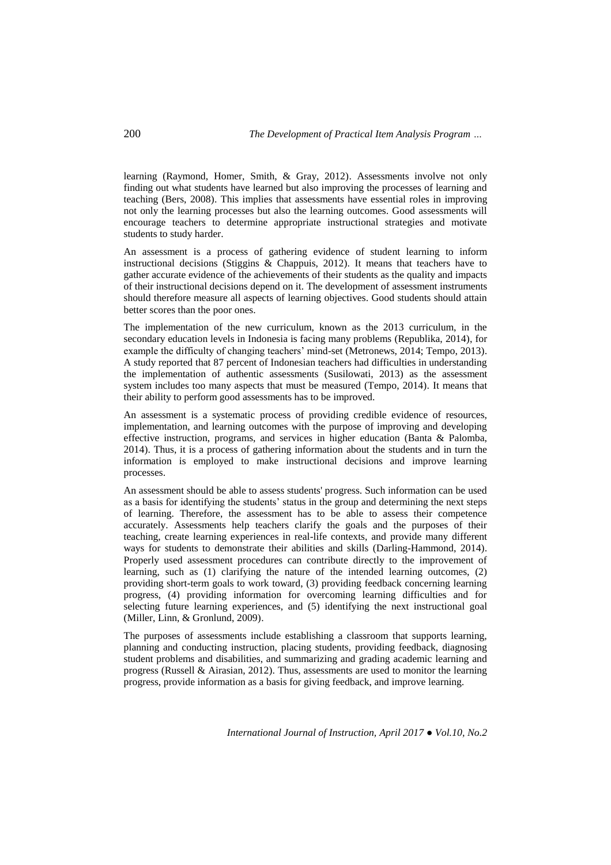learning (Raymond, Homer, Smith, & Gray, 2012). Assessments involve not only finding out what students have learned but also improving the processes of learning and teaching (Bers, 2008). This implies that assessments have essential roles in improving not only the learning processes but also the learning outcomes. Good assessments will encourage teachers to determine appropriate instructional strategies and motivate students to study harder.

An assessment is a process of gathering evidence of student learning to inform instructional decisions (Stiggins  $\&$  Chappuis, 2012). It means that teachers have to gather accurate evidence of the achievements of their students as the quality and impacts of their instructional decisions depend on it. The development of assessment instruments should therefore measure all aspects of learning objectives. Good students should attain better scores than the poor ones.

The implementation of the new curriculum, known as the 2013 curriculum, in the secondary education levels in Indonesia is facing many problems (Republika, 2014), for example the difficulty of changing teachers' mind-set (Metronews, 2014; Tempo, 2013). A study reported that 87 percent of Indonesian teachers had difficulties in understanding the implementation of authentic assessments (Susilowati, 2013) as the assessment system includes too many aspects that must be measured (Tempo, 2014). It means that their ability to perform good assessments has to be improved.

An assessment is a systematic process of providing credible evidence of resources, implementation, and learning outcomes with the purpose of improving and developing effective instruction, programs, and services in higher education (Banta & Palomba, 2014). Thus, it is a process of gathering information about the students and in turn the information is employed to make instructional decisions and improve learning processes.

An assessment should be able to assess students' progress. Such information can be used as a basis for identifying the students' status in the group and determining the next steps of learning. Therefore, the assessment has to be able to assess their competence accurately. Assessments help teachers clarify the goals and the purposes of their teaching, create learning experiences in real-life contexts, and provide many different ways for students to demonstrate their abilities and skills (Darling-Hammond, 2014). Properly used assessment procedures can contribute directly to the improvement of learning, such as (1) clarifying the nature of the intended learning outcomes, (2) providing short-term goals to work toward, (3) providing feedback concerning learning progress, (4) providing information for overcoming learning difficulties and for selecting future learning experiences, and (5) identifying the next instructional goal (Miller, Linn, & Gronlund, 2009).

The purposes of assessments include establishing a classroom that supports learning, planning and conducting instruction, placing students, providing feedback, diagnosing student problems and disabilities, and summarizing and grading academic learning and progress (Russell & Airasian, 2012). Thus, assessments are used to monitor the learning progress, provide information as a basis for giving feedback, and improve learning.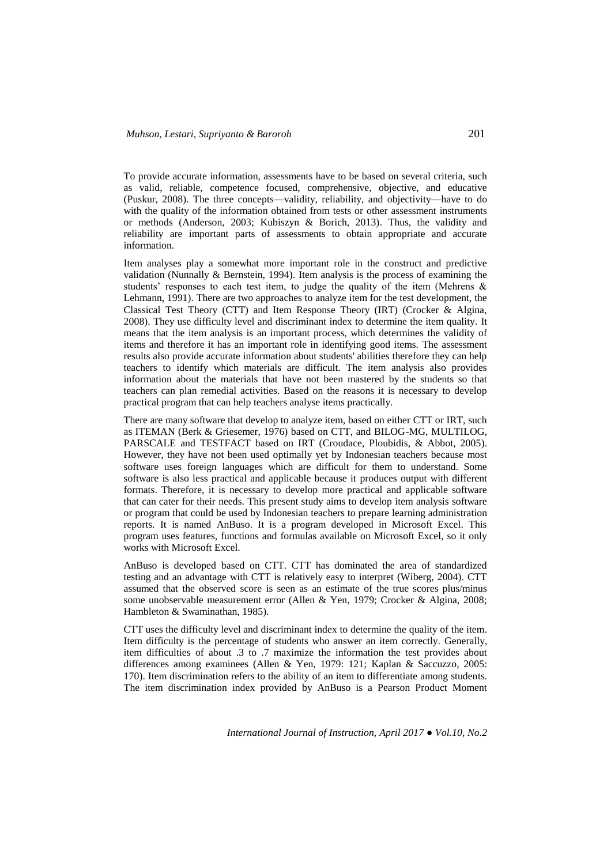To provide accurate information, assessments have to be based on several criteria, such as valid, reliable, competence focused, comprehensive, objective, and educative (Puskur, 2008). The three concepts—validity, reliability, and objectivity—have to do with the quality of the information obtained from tests or other assessment instruments or methods (Anderson, 2003; Kubiszyn & Borich, 2013). Thus, the validity and reliability are important parts of assessments to obtain appropriate and accurate information.

Item analyses play a somewhat more important role in the construct and predictive validation (Nunnally & Bernstein, 1994). Item analysis is the process of examining the students' responses to each test item, to judge the quality of the item (Mehrens & Lehmann, 1991). There are two approaches to analyze item for the test development, the Classical Test Theory (CTT) and Item Response Theory (IRT) (Crocker & Algina, 2008). They use difficulty level and discriminant index to determine the item quality. It means that the item analysis is an important process, which determines the validity of items and therefore it has an important role in identifying good items. The assessment results also provide accurate information about students' abilities therefore they can help teachers to identify which materials are difficult. The item analysis also provides information about the materials that have not been mastered by the students so that teachers can plan remedial activities. Based on the reasons it is necessary to develop practical program that can help teachers analyse items practically.

There are many software that develop to analyze item, based on either CTT or IRT, such as ITEMAN (Berk & Griesemer, 1976) based on CTT, and BILOG-MG, MULTILOG, PARSCALE and TESTFACT based on IRT (Croudace, Ploubidis, & Abbot, 2005). However, they have not been used optimally yet by Indonesian teachers because most software uses foreign languages which are difficult for them to understand. Some software is also less practical and applicable because it produces output with different formats. Therefore, it is necessary to develop more practical and applicable software that can cater for their needs. This present study aims to develop item analysis software or program that could be used by Indonesian teachers to prepare learning administration reports. It is named AnBuso. It is a program developed in Microsoft Excel. This program uses features, functions and formulas available on Microsoft Excel, so it only works with Microsoft Excel.

AnBuso is developed based on CTT. CTT has dominated the area of standardized testing and an advantage with CTT is relatively easy to interpret (Wiberg, 2004). CTT assumed that the observed score is seen as an estimate of the true scores plus/minus some unobservable measurement error (Allen & Yen, 1979; Crocker & Algina, 2008; Hambleton & Swaminathan, 1985).

CTT uses the difficulty level and discriminant index to determine the quality of the item. Item difficulty is the percentage of students who answer an item correctly. Generally, item difficulties of about .3 to .7 maximize the information the test provides about differences among examinees (Allen & Yen, 1979: 121; Kaplan & Saccuzzo, 2005: 170). Item discrimination refers to the ability of an item to differentiate among students. The item discrimination index provided by AnBuso is a Pearson Product Moment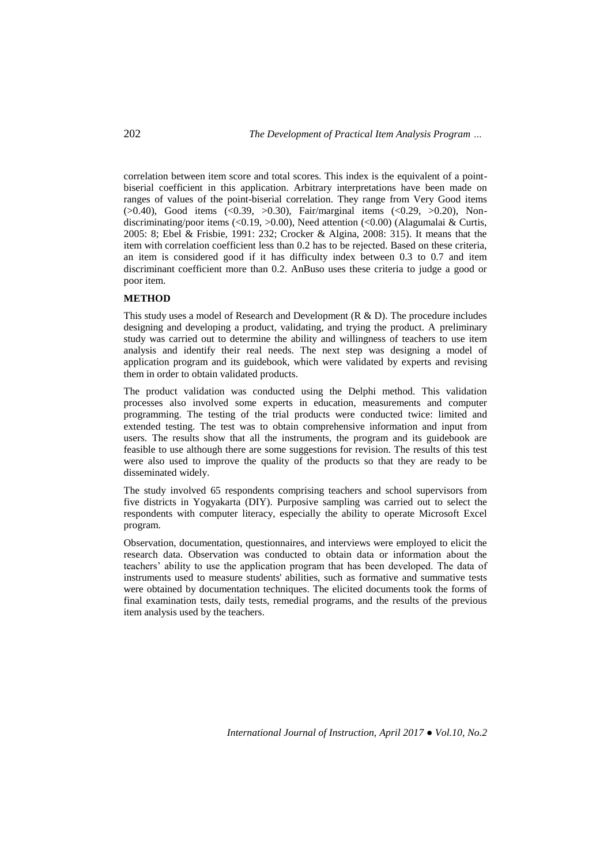correlation between item score and total scores. This index is the equivalent of a pointbiserial coefficient in this application. Arbitrary interpretations have been made on ranges of values of the point-biserial correlation. They range from Very Good items  $(>0.40)$ , Good items  $( $0.39, >0.30$ ), Fair/marginal items  $( $0.29, >0.20$ )$ , Non$ discriminating/poor items (<0.19, >0.00), Need attention (<0.00) (Alagumalai & Curtis, 2005: 8; Ebel & Frisbie, 1991: 232; Crocker & Algina, 2008: 315). It means that the item with correlation coefficient less than 0.2 has to be rejected. Based on these criteria, an item is considered good if it has difficulty index between 0.3 to 0.7 and item discriminant coefficient more than 0.2. AnBuso uses these criteria to judge a good or poor item.

## **METHOD**

This study uses a model of Research and Development (R & D). The procedure includes designing and developing a product, validating, and trying the product. A preliminary study was carried out to determine the ability and willingness of teachers to use item analysis and identify their real needs. The next step was designing a model of application program and its guidebook, which were validated by experts and revising them in order to obtain validated products.

The product validation was conducted using the Delphi method. This validation processes also involved some experts in education, measurements and computer programming. The testing of the trial products were conducted twice: limited and extended testing. The test was to obtain comprehensive information and input from users. The results show that all the instruments, the program and its guidebook are feasible to use although there are some suggestions for revision. The results of this test were also used to improve the quality of the products so that they are ready to be disseminated widely.

The study involved 65 respondents comprising teachers and school supervisors from five districts in Yogyakarta (DIY). Purposive sampling was carried out to select the respondents with computer literacy, especially the ability to operate Microsoft Excel program.

Observation, documentation, questionnaires, and interviews were employed to elicit the research data. Observation was conducted to obtain data or information about the teachers' ability to use the application program that has been developed. The data of instruments used to measure students' abilities, such as formative and summative tests were obtained by documentation techniques. The elicited documents took the forms of final examination tests, daily tests, remedial programs, and the results of the previous item analysis used by the teachers.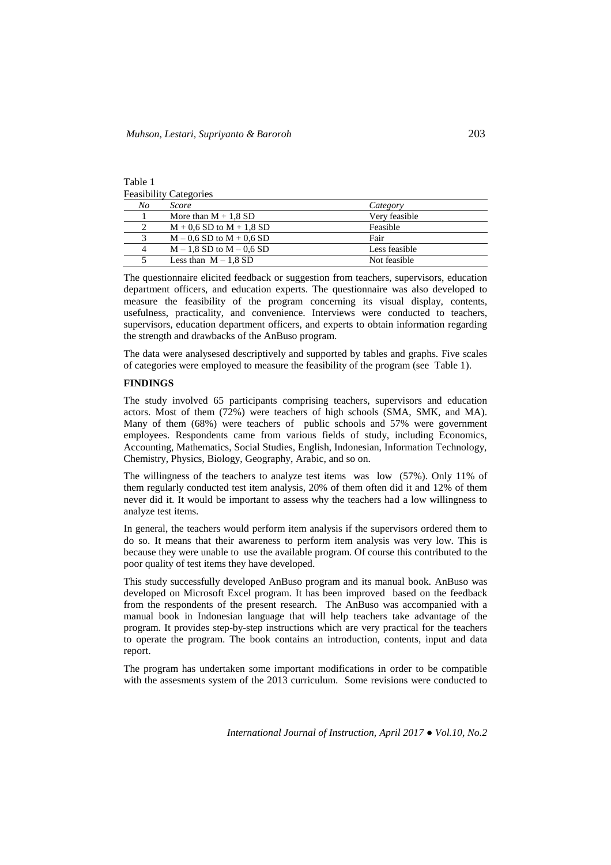| ranie i                       |  |
|-------------------------------|--|
| <b>Feasibility Categories</b> |  |

Table 1

| No             | <i>Score</i>                 | Category      |
|----------------|------------------------------|---------------|
|                | More than $M + 1.8$ SD       | Very feasible |
|                | $M + 0.6$ SD to $M + 1.8$ SD | Feasible      |
|                | $M - 0.6$ SD to $M + 0.6$ SD | Fair          |
| $\overline{4}$ | $M - 1.8$ SD to $M - 0.6$ SD | Less feasible |
|                | Less than $M - 1.8$ SD       | Not feasible  |

The questionnaire elicited feedback or suggestion from teachers, supervisors, education department officers, and education experts. The questionnaire was also developed to measure the feasibility of the program concerning its visual display, contents, usefulness, practicality, and convenience. Interviews were conducted to teachers, supervisors, education department officers, and experts to obtain information regarding the strength and drawbacks of the AnBuso program.

The data were analysesed descriptively and supported by tables and graphs. Five scales of categories were employed to measure the feasibility of the program (see Table 1).

## **FINDINGS**

The study involved 65 participants comprising teachers, supervisors and education actors. Most of them (72%) were teachers of high schools (SMA, SMK, and MA). Many of them (68%) were teachers of public schools and 57% were government employees. Respondents came from various fields of study, including Economics, Accounting, Mathematics, Social Studies, English, Indonesian, Information Technology, Chemistry, Physics, Biology, Geography, Arabic, and so on.

The willingness of the teachers to analyze test items was low (57%). Only 11% of them regularly conducted test item analysis, 20% of them often did it and 12% of them never did it. It would be important to assess why the teachers had a low willingness to analyze test items.

In general, the teachers would perform item analysis if the supervisors ordered them to do so. It means that their awareness to perform item analysis was very low. This is because they were unable to use the available program. Of course this contributed to the poor quality of test items they have developed.

This study successfully developed AnBuso program and its manual book. AnBuso was developed on Microsoft Excel program. It has been improved based on the feedback from the respondents of the present research. The AnBuso was accompanied with a manual book in Indonesian language that will help teachers take advantage of the program. It provides step-by-step instructions which are very practical for the teachers to operate the program. The book contains an introduction, contents, input and data report.

The program has undertaken some important modifications in order to be compatible with the assesments system of the 2013 curriculum. Some revisions were conducted to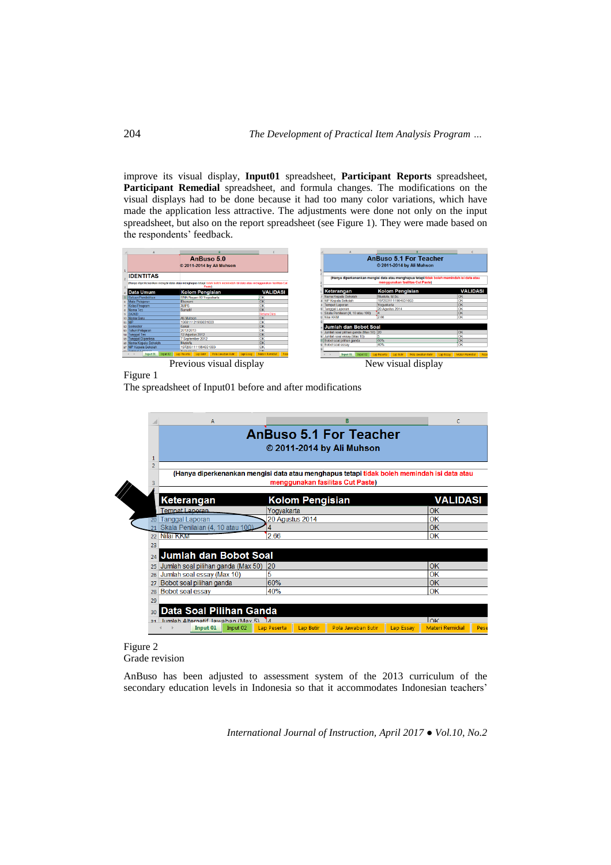improve its visual display, **Input01** spreadsheet, **Participant Reports** spreadsheet, **Participant Remedial** spreadsheet, and formula changes. The modifications on the visual displays had to be done because it had too many color variations, which have made the application less attractive. The adjustments were done not only on the input spreadsheet, but also on the report spreadsheet (see Figure 1). They were made based on the respondents' feedback.

|                         | AnBuso 5.0                                                                                                           |                    | <b>AnBuso 5.1 For Teacher</b>         |                                                                                            |                 |  |
|-------------------------|----------------------------------------------------------------------------------------------------------------------|--------------------|---------------------------------------|--------------------------------------------------------------------------------------------|-----------------|--|
|                         |                                                                                                                      |                    |                                       |                                                                                            |                 |  |
|                         | 2011-2014 by Ali Muhson                                                                                              |                    |                                       | © 2011-2014 by Ali Muhson                                                                  |                 |  |
| <b>IDENTITAS</b>        |                                                                                                                      |                    |                                       | (Hanya diperkenankan mengisi data atau menghapus tetapi tidak boleh memindah isi data atau |                 |  |
|                         | (Hanya diperkenankan mengisi data atau menghapus tetapi tidak boleh memindah isi data atau menggunakan fasilitas Cut |                    |                                       | menggunakan fasilitas Cut Paste)                                                           |                 |  |
|                         | Pastel                                                                                                               |                    |                                       |                                                                                            |                 |  |
| Data Umum               | <b>Kolom Pengisian</b>                                                                                               | <b>VALIDASI</b>    | Keterangan                            | <b>Kolom Pengisian</b>                                                                     | <b>VALIDASI</b> |  |
| Satuan Pendidikan       | SMA Negeri 80 Yogyakarta                                                                                             | lox                | Nama Kepala Sekolah                   | Mustofa, M.Sc.                                                                             | lok             |  |
| Mata Pelajaran          | Ekonomi                                                                                                              | OK                 | NIP Kepala Sekolah                    | 1972031111984031003                                                                        | OK              |  |
| Kelas/Program           | <b>XIIPS</b>                                                                                                         | OK                 | 9 Tempat Laporan                      | Yogyakarta                                                                                 | lок             |  |
| Nama Tos                | Sumatit                                                                                                              | OK                 | o Tanggal Laporan                     | 20 Agustus 2014                                                                            | lок             |  |
| <b>SK/KD</b>            |                                                                                                                      | <b>Behrn Diisi</b> | Skala Penilaian (4, 10 atau 100)      |                                                                                            | lok             |  |
| Nama Guru               | All Muhson                                                                                                           | lок                | Nilai KKM                             | 2.66                                                                                       | OK              |  |
| $11$ NIP                | 196811121999031003                                                                                                   | lox                |                                       |                                                                                            |                 |  |
| 12 Semester             | Gasal                                                                                                                | lok                | Jumiah dan Bobot Soal                 |                                                                                            |                 |  |
| 12 Tahun Pelajaran      | 2012/2013                                                                                                            | OK                 | Jumlah soal pilihan ganda (Max 50) 20 |                                                                                            | lok             |  |
| 14 Tanggal Tes          | 12 Agustus 2012                                                                                                      | OK                 | Jumlah soal essay (Max 10)            |                                                                                            | OK              |  |
| 15 Tanggal Diperiksa    | 7 September 2012                                                                                                     | OK                 | Bobot soal pilihan ganda              | <b>BO<sub>P</sub></b>                                                                      | Іок             |  |
| 16 Nama Kepala Sekolah  | Mustofa                                                                                                              | lok                | Bobot soal essay                      | 40%                                                                                        | lок             |  |
| 17 NIP Kepala Sekolah   | 1972031111984031003                                                                                                  | OK                 |                                       |                                                                                            |                 |  |
| o Tomost Langran        | Voqealisms                                                                                                           | low                |                                       |                                                                                            |                 |  |
| Input 01 hput 02        | Lap Peserta Lap Batir Pola Jawaban Butir Lap Essay Materi Remidial Pese                                              |                    | Input 01                              | Input 02 Lao Peserta Lao Butir Pola Jawaban Butir Lao Essay Materi Remidial Pese           |                 |  |
| Previous visual display |                                                                                                                      |                    | New visual display                    |                                                                                            |                 |  |
|                         |                                                                                                                      |                    |                                       |                                                                                            |                 |  |

Figure 1

The spreadsheet of Input01 before and after modifications



# Figure 2

Grade revision

AnBuso has been adjusted to assessment system of the 2013 curriculum of the secondary education levels in Indonesia so that it accommodates Indonesian teachers'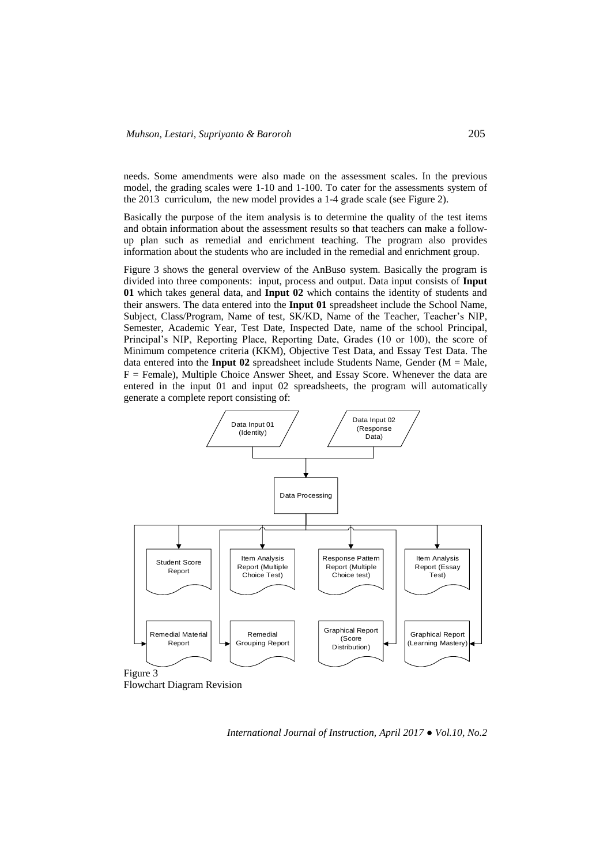needs. Some amendments were also made on the assessment scales. In the previous model, the grading scales were 1-10 and 1-100. To cater for the assessments system of the 2013 curriculum, the new model provides a 1-4 grade scale (see Figure 2).

Basically the purpose of the item analysis is to determine the quality of the test items and obtain information about the assessment results so that teachers can make a followup plan such as remedial and enrichment teaching. The program also provides information about the students who are included in the remedial and enrichment group.

Figure 3 shows the general overview of the AnBuso system. Basically the program is divided into three components: input, process and output. Data input consists of **Input 01** which takes general data, and **Input 02** which contains the identity of students and their answers. The data entered into the **Input 01** spreadsheet include the School Name, Subject, Class/Program, Name of test, SK/KD, Name of the Teacher, Teacher's NIP, Semester, Academic Year, Test Date, Inspected Date, name of the school Principal, Principal's NIP, Reporting Place, Reporting Date, Grades (10 or 100), the score of Minimum competence criteria (KKM), Objective Test Data, and Essay Test Data. The data entered into the **Input 02** spreadsheet include Students Name, Gender ( $M = Male$ ,  $F =$  Female), Multiple Choice Answer Sheet, and Essay Score. Whenever the data are entered in the input 01 and input 02 spreadsheets, the program will automatically generate a complete report consisting of:



Flowchart Diagram Revision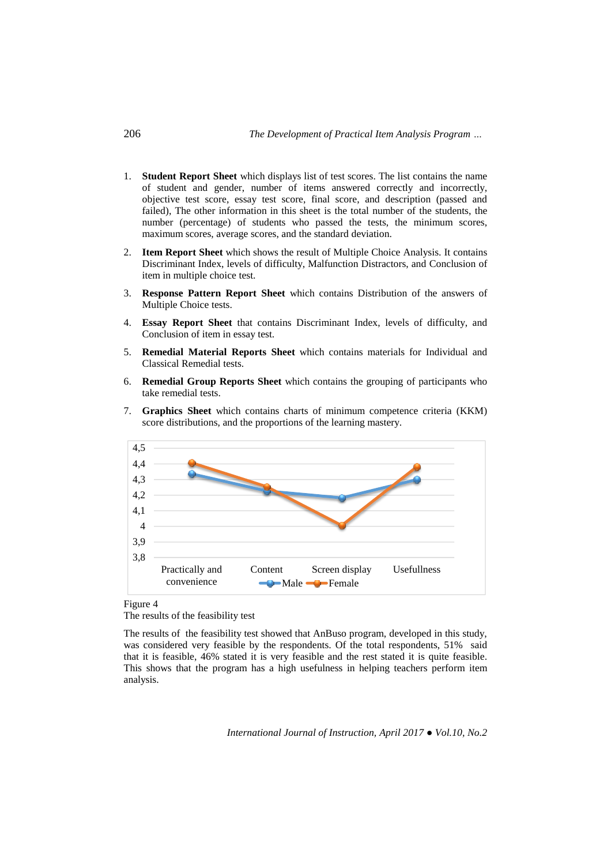- 1. **Student Report Sheet** which displays list of test scores. The list contains the name of student and gender, number of items answered correctly and incorrectly, objective test score, essay test score, final score, and description (passed and failed), The other information in this sheet is the total number of the students, the number (percentage) of students who passed the tests, the minimum scores, maximum scores, average scores, and the standard deviation.
- 2. **Item Report Sheet** which shows the result of Multiple Choice Analysis. It contains Discriminant Index, levels of difficulty, Malfunction Distractors, and Conclusion of item in multiple choice test.
- 3. **Response Pattern Report Sheet** which contains Distribution of the answers of Multiple Choice tests.
- 4. **Essay Report Sheet** that contains Discriminant Index, levels of difficulty, and Conclusion of item in essay test.
- 5. **Remedial Material Reports Sheet** which contains materials for Individual and Classical Remedial tests.
- 6. **Remedial Group Reports Sheet** which contains the grouping of participants who take remedial tests.
- 7. **Graphics Sheet** which contains charts of minimum competence criteria (KKM) score distributions, and the proportions of the learning mastery.



#### Figure 4

The results of the feasibility test

The results of the feasibility test showed that AnBuso program, developed in this study, was considered very feasible by the respondents. Of the total respondents, 51% said that it is feasible, 46% stated it is very feasible and the rest stated it is quite feasible. This shows that the program has a high usefulness in helping teachers perform item analysis.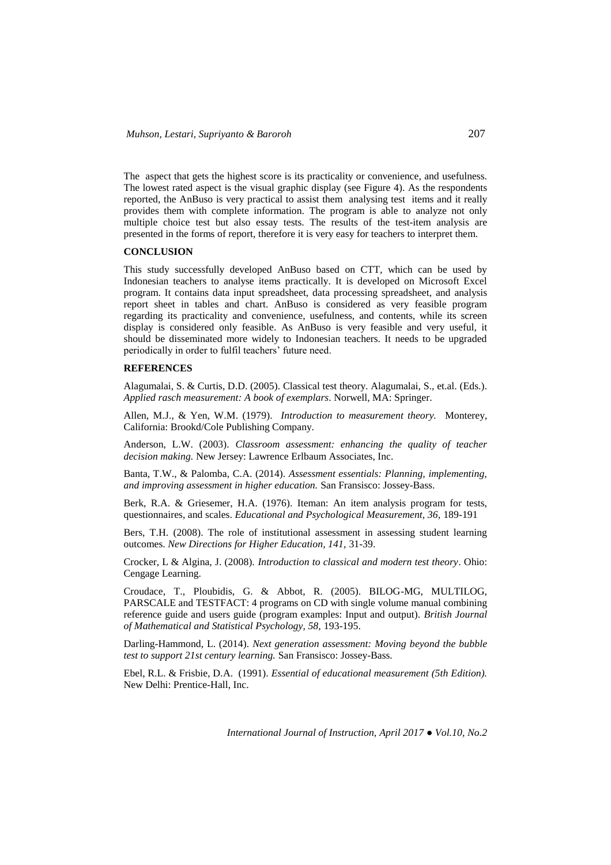The aspect that gets the highest score is its practicality or convenience, and usefulness. The lowest rated aspect is the visual graphic display (see Figure 4). As the respondents reported, the AnBuso is very practical to assist them analysing test items and it really provides them with complete information. The program is able to analyze not only multiple choice test but also essay tests. The results of the test-item analysis are presented in the forms of report, therefore it is very easy for teachers to interpret them.

## **CONCLUSION**

This study successfully developed AnBuso based on CTT, which can be used by Indonesian teachers to analyse items practically. It is developed on Microsoft Excel program. It contains data input spreadsheet, data processing spreadsheet, and analysis report sheet in tables and chart. AnBuso is considered as very feasible program regarding its practicality and convenience, usefulness, and contents, while its screen display is considered only feasible. As AnBuso is very feasible and very useful, it should be disseminated more widely to Indonesian teachers. It needs to be upgraded periodically in order to fulfil teachers' future need.

## **REFERENCES**

Alagumalai, S. & Curtis, D.D. (2005). Classical test theory. Alagumalai, S., et.al. (Eds.). *Applied rasch measurement: A book of exemplars*. Norwell, MA: Springer.

Allen, M.J., & Yen, W.M. (1979). *Introduction to measurement theory.* Monterey, California: Brookd/Cole Publishing Company.

Anderson, L.W. (2003). *Classroom assessment: enhancing the quality of teacher decision making.* New Jersey: Lawrence Erlbaum Associates, Inc.

Banta, T.W., & Palomba, C.A. (2014). *Assessment essentials: Planning, implementing, and improving assessment in higher education.* San Fransisco: Jossey-Bass.

Berk, R.A. & Griesemer, H.A. (1976). Iteman: An item analysis program for tests, questionnaires, and scales. *Educational and Psychological Measurement, 36,* 189-191

Bers, T.H. (2008). The role of institutional assessment in assessing student learning outcomes. *New Directions for Higher Education, 141,* 31-39.

Crocker, L & Algina, J. (2008). *Introduction to classical and modern test theory*. Ohio: Cengage Learning.

Croudace, T., Ploubidis, G. & Abbot, R. (2005). BILOG-MG, MULTILOG, PARSCALE and TESTFACT: 4 programs on CD with single volume manual combining reference guide and users guide (program examples: Input and output). *British Journal of Mathematical and Statistical Psychology, 58,* 193-195.

Darling-Hammond, L. (2014). *Next generation assessment: Moving beyond the bubble test to support 21st century learning.* San Fransisco: Jossey-Bass.

Ebel, R.L. & Frisbie, D.A. (1991). *Essential of educational measurement (5th Edition).* New Delhi: Prentice-Hall, Inc.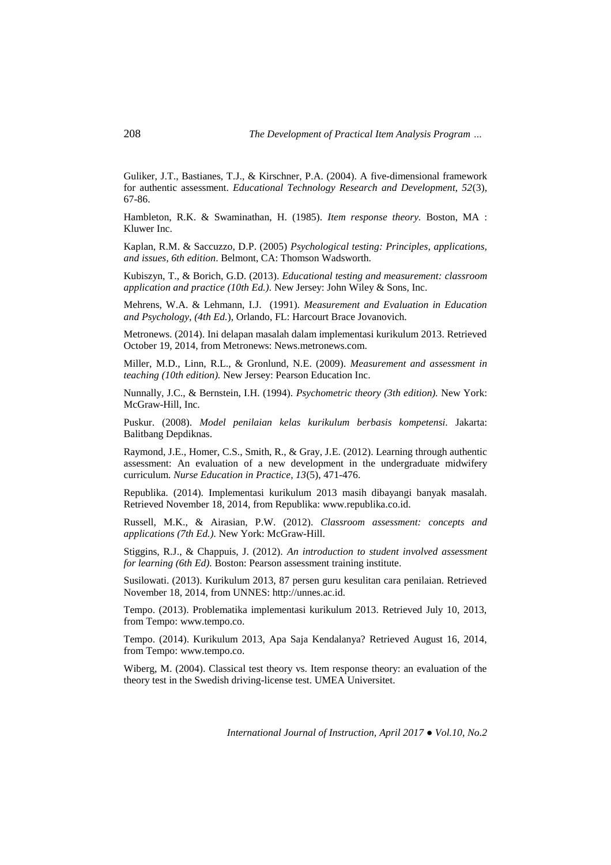Guliker, J.T., Bastianes, T.J., & Kirschner, P.A. (2004). A five-dimensional framework for authentic assessment. *Educational Technology Research and Development, 52*(3), 67-86.

Hambleton, R.K. & Swaminathan, H. (1985). *Item response theory.* Boston, MA : Kluwer Inc.

Kaplan, R.M. & Saccuzzo, D.P. (2005) *Psychological testing: Principles, applications, and issues, 6th edition*. Belmont, CA: Thomson Wadsworth.

Kubiszyn, T., & Borich, G.D. (2013). *Educational testing and measurement: classroom application and practice (10th Ed.).* New Jersey: John Wiley & Sons, Inc.

Mehrens, W.A. & Lehmann, I.J. (1991). *Measurement and Evaluation in Education and Psychology, (4th Ed.*), Orlando, FL: Harcourt Brace Jovanovich.

Metronews. (2014). Ini delapan masalah dalam implementasi kurikulum 2013. Retrieved October 19, 2014, from Metronews: News.metronews.com.

Miller, M.D., Linn, R.L., & Gronlund, N.E. (2009). *Measurement and assessment in teaching (10th edition).* New Jersey: Pearson Education Inc.

Nunnally, J.C., & Bernstein, I.H. (1994). *Psychometric theory (3th edition).* New York: McGraw-Hill, Inc.

Puskur. (2008). *Model penilaian kelas kurikulum berbasis kompetensi.* Jakarta: Balitbang Depdiknas.

Raymond, J.E., Homer, C.S., Smith, R., & Gray, J.E. (2012). Learning through authentic assessment: An evaluation of a new development in the undergraduate midwifery curriculum. *Nurse Education in Practice, 13*(5), 471-476.

Republika. (2014). Implementasi kurikulum 2013 masih dibayangi banyak masalah. Retrieved November 18, 2014, from Republika: www.republika.co.id.

Russell, M.K., & Airasian, P.W. (2012). *Classroom assessment: concepts and applications (7th Ed.).* New York: McGraw-Hill.

Stiggins, R.J., & Chappuis, J. (2012). *An introduction to student involved assessment for learning (6th Ed).* Boston: Pearson assessment training institute.

Susilowati. (2013). Kurikulum 2013, 87 persen guru kesulitan cara penilaian. Retrieved November 18, 2014, from UNNES: http://unnes.ac.id.

Tempo. (2013). Problematika implementasi kurikulum 2013. Retrieved July 10, 2013, from Tempo: www.tempo.co.

Tempo. (2014). Kurikulum 2013, Apa Saja Kendalanya? Retrieved August 16, 2014, from Tempo: www.tempo.co.

Wiberg, M. (2004). Classical test theory vs. Item response theory: an evaluation of the theory test in the Swedish driving-license test. UMEA Universitet.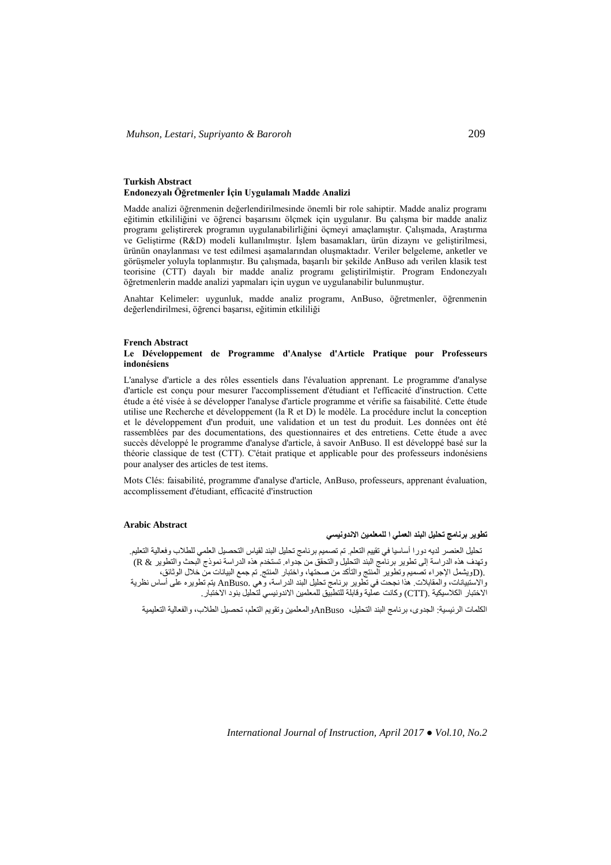#### **Turkish Abstract Endonezyalı Öğretmenler İçin Uygulamalı Madde Analizi**

Madde analizi öğrenmenin değerlendirilmesinde önemli bir role sahiptir. Madde analiz programı eğitimin etkililiğini ve öğrenci başarısını ölçmek için uygulanır. Bu çalışma bir madde analiz programı geliştirerek programın uygulanabilirliğini öçmeyi amaçlamıştır. Çalışmada, Araştırma ve Geliştirme (R&D) modeli kullanılmıştır. İşlem basamakları, ürün dizaynı ve geliştirilmesi, ürünün onaylanması ve test edilmesi aşamalarından oluşmaktadır. Veriler belgeleme, anketler ve görüşmeler yoluyla toplanmıştır. Bu çalışmada, başarılı bir şekilde AnBuso adı verilen klasik test teorisine (CTT) dayalı bir madde analiz programı geliştirilmiştir. Program Endonezyalı öğretmenlerin madde analizi yapmaları için uygun ve uygulanabilir bulunmuştur.

Anahtar Kelimeler: uygunluk, madde analiz programı, AnBuso, öğretmenler, öğrenmenin değerlendirilmesi, öğrenci başarısı, eğitimin etkililiği

#### **French Abstract**

#### **Le Développement de Programme d'Analyse d'Article Pratique pour Professeurs indonésiens**

L'analyse d'article a des rôles essentiels dans l'évaluation apprenant. Le programme d'analyse d'article est conçu pour mesurer l'accomplissement d'étudiant et l'efficacité d'instruction. Cette étude a été visée à se développer l'analyse d'article programme et vérifie sa faisabilité. Cette étude utilise une Recherche et développement (la R et D) le modèle. La procédure inclut la conception et le développement d'un produit, une validation et un test du produit. Les données ont été rassemblées par des documentations, des questionnaires et des entretiens. Cette étude a avec succès développé le programme d'analyse d'article, à savoir AnBuso. Il est développé basé sur la théorie classique de test (CTT). C'était pratique et applicable pour des professeurs indonésiens pour analyser des articles de test items.

Mots Clés: faisabilité, programme d'analyse d'article, AnBuso, professeurs, apprenant évaluation, accomplissement d'étudiant, efficacité d'instruction

## **Arabic Abstract**

# **تطوير برنامج تحليل البند العملي ا للمعلمين االندونيسي**

تحليل العنصر لديه دورا أساسيا في تقييم التعلم. تم تصميم برنامج تحليل البند لقياس التحصيل العلمي للطالب وفعالية التعليم. وتهدف هذه الدراسة إلى تطوير برنامج البند التحليل والتحقق من جدواه. تستخدم هذه الدراسة نموذج البحث والتطوير & R( .(Dويشمل اإلجراء تصميم وتطوير المنتج والتأكد من صحتها، واختبار المنتج. تم جمع البيانات من خالل الوثائق، واالستبيانات، والمقابالت. هذا نجحت في تطوير برنامج تحليل البند الدراسة، وهي .AnBuso يتم تطويره على أساس نظرية االختبار الكالسيكية .(CTT (وكانت عملية وقابلة للتطبيق للمعلمين االندونيسي لتحليل بنود االختبار.

الكلمات الرئيسية: الجدوى، برنامج البند التحليل، AnBusoوالمعلمين وتقويم التعلم، تحصيل الطلاب، والفعالية التعليمية